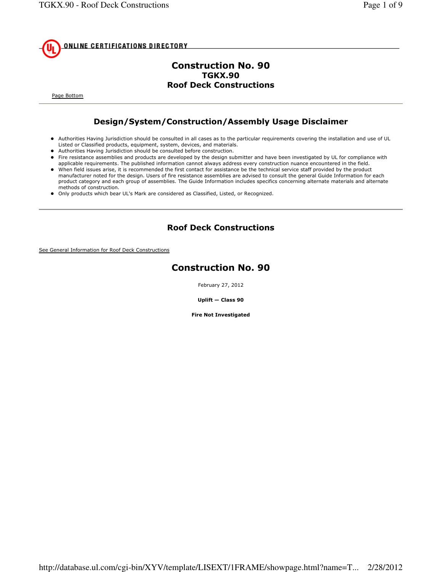

## Construction No. 90 TGKX.90 Roof Deck Constructions

Page Bottom

## Design/System/Construction/Assembly Usage Disclaimer

- Authorities Having Jurisdiction should be consulted in all cases as to the particular requirements covering the installation and use of UL Listed or Classified products, equipment, system, devices, and materials.
- Authorities Having Jurisdiction should be consulted before construction.
- Fire resistance assemblies and products are developed by the design submitter and have been investigated by UL for compliance with applicable requirements. The published information cannot always address every construction nuance encountered in the field.
- When field issues arise, it is recommended the first contact for assistance be the technical service staff provided by the product manufacturer noted for the design. Users of fire resistance assemblies are advised to consult the general Guide Information for each product category and each group of assemblies. The Guide Information includes specifics concerning alternate materials and alternate methods of construction.
- Only products which bear UL's Mark are considered as Classified, Listed, or Recognized.

### Roof Deck Constructions

See General Information for Roof Deck Constructions

# Construction No. 90

February 27, 2012

Uplift — Class 90

Fire Not Investigated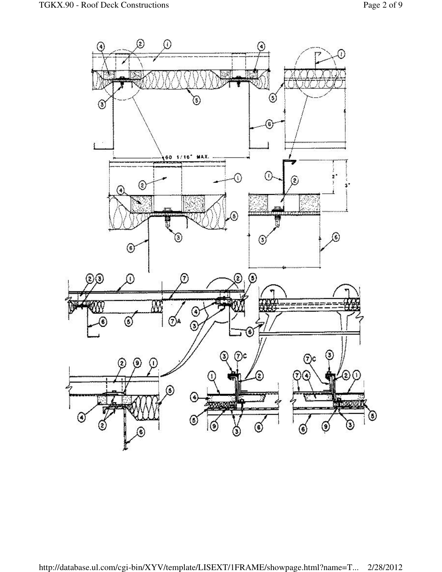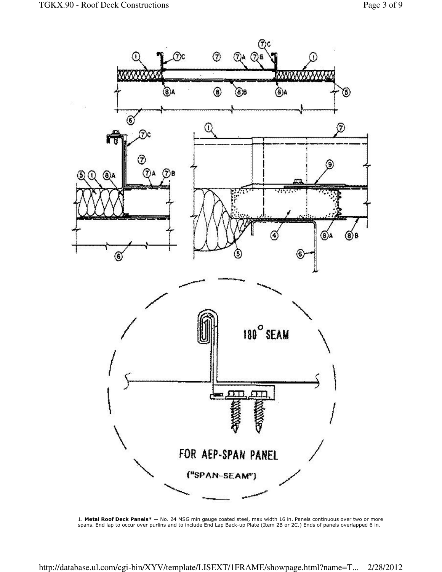

1. Metal Roof Deck Panels\* — No. 24 MSG min gauge coated steel, max width 16 in. Panels continuous over two or more spans. End lap to occur over purlins and to include End Lap Back-up Plate (Item 2B or 2C.) Ends of panels overlapped 6 in.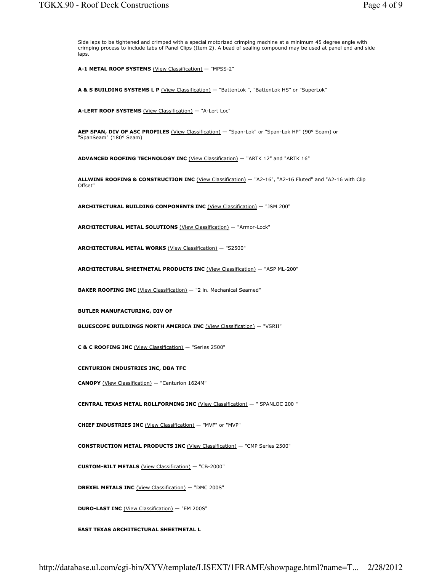Side laps to be tightened and crimped with a special motorized crimping machine at a minimum 45 degree angle with crimping process to include tabs of Panel Clips (Item 2). A bead of sealing compound may be used at panel end and side laps.

A-1 METAL ROOF SYSTEMS (View Classification) - "MPSS-2"

A & S BUILDING SYSTEMS L P (View Classification) — "BattenLok ", "BattenLok HS" or "SuperLok"

A-LERT ROOF SYSTEMS (View Classification) — "A-Lert Loc"

AEP SPAN, DIV OF ASC PROFILES (View Classification) - "Span-Lok" or "Span-Lok HP" (90° Seam) or "SpanSeam" (180° Seam)

ADVANCED ROOFING TECHNOLOGY INC (View Classification) - "ARTK 12" and "ARTK 16"

ALLWINE ROOFING & CONSTRUCTION INC (View Classification) - "A2-16", "A2-16 Fluted" and "A2-16 with Clip Offset"

ARCHITECTURAL BUILDING COMPONENTS INC (View Classification) — "JSM 200"

ARCHITECTURAL METAL SOLUTIONS (View Classification) — "Armor-Lock"

ARCHITECTURAL METAL WORKS (View Classification) — "S2500"

ARCHITECTURAL SHEETMETAL PRODUCTS INC (View Classification) — "ASP ML-200"

BAKER ROOFING INC (View Classification) - "2 in. Mechanical Seamed"

BUTLER MANUFACTURING, DIV OF

BLUESCOPE BUILDINGS NORTH AMERICA INC (View Classification) - "VSRII"

C & C ROOFING INC (View Classification) — "Series 2500"

CENTURION INDUSTRIES INC, DBA TFC

CANOPY (View Classification) — "Centurion 1624M"

CENTRAL TEXAS METAL ROLLFORMING INC (View Classification) — " SPANLOC 200 "

CHIEF INDUSTRIES INC (View Classification) — "MVF" or "MVP"

CONSTRUCTION METAL PRODUCTS INC (View Classification) — "CMP Series 2500"

CUSTOM-BILT METALS (View Classification) — "CB-2000"

DREXEL METALS INC (View Classification) - "DMC 200S"

DURO-LAST INC (View Classification) - "EM 200S"

EAST TEXAS ARCHITECTURAL SHEETMETAL L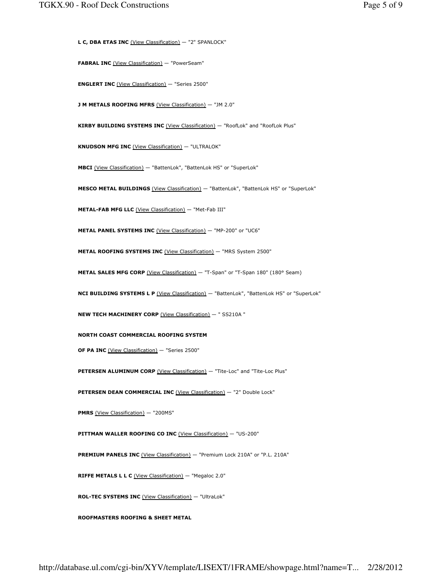L C, DBA ETAS INC (View Classification) — "2" SPANLOCK"

FABRAL INC (View Classification) - "PowerSeam"

ENGLERT INC (View Classification) — "Series 2500"

J M METALS ROOFING MFRS (View Classification) - "JM 2.0"

KIRBY BUILDING SYSTEMS INC (View Classification) - "RoofLok" and "RoofLok Plus"

KNUDSON MFG INC (View Classification) — "ULTRALOK"

MBCI (View Classification) — "BattenLok", "BattenLok HS" or "SuperLok"

MESCO METAL BUILDINGS (View Classification) — "BattenLok", "BattenLok HS" or "SuperLok"

METAL-FAB MFG LLC (View Classification) — "Met-Fab III"

METAL PANEL SYSTEMS INC (View Classification) - "MP-200" or "UC6"

METAL ROOFING SYSTEMS INC (View Classification) - "MRS System 2500"

METAL SALES MFG CORP (View Classification) - "T-Span" or "T-Span 180" (180° Seam)

NCI BUILDING SYSTEMS L P (View Classification) - "BattenLok", "BattenLok HS" or "SuperLok"

NEW TECH MACHINERY CORP (View Classification) - " SS210A "

NORTH COAST COMMERCIAL ROOFING SYSTEM

OF PA INC (View Classification) - "Series 2500"

PETERSEN ALUMINUM CORP (View Classification) - "Tite-Loc" and "Tite-Loc Plus"

PETERSEN DEAN COMMERCIAL INC (View Classification) - "2" Double Lock"

PMRS (View Classification) - "200MS"

PITTMAN WALLER ROOFING CO INC (View Classification) - "US-200"

PREMIUM PANELS INC (View Classification) - "Premium Lock 210A" or "P.L. 210A"

RIFFE METALS L L C (View Classification) - "Megaloc 2.0"

ROL-TEC SYSTEMS INC (View Classification) — "UltraLok"

ROOFMASTERS ROOFING & SHEET METAL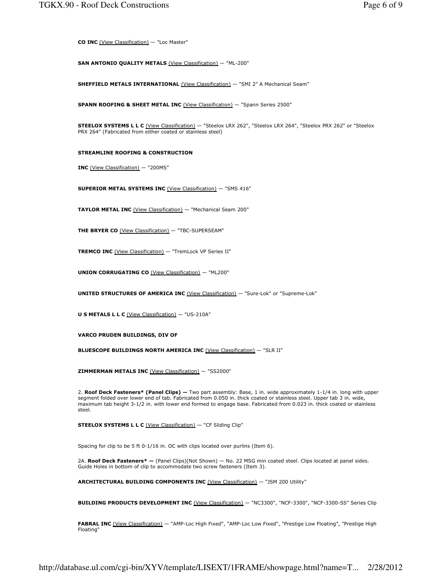CO INC (View Classification) — "Loc Master"

SAN ANTONIO QUALITY METALS (View Classification) — "ML-200"

SHEFFIELD METALS INTERNATIONAL (View Classification) - "SMI 2" A Mechanical Seam"

SPANN ROOFING & SHEET METAL INC (View Classification) — "Spann Series 2500"

STEELOX SYSTEMS L L C (View Classification) - "Steelox LRX 262", "Steelox LRX 264", "Steelox PRX 262" or "Steelox PRX 264" (Fabricated from either coated or stainless steel)

### STREAMLINE ROOFING & CONSTRUCTION

INC (View Classification) - "200MS"

SUPERIOR METAL SYSTEMS INC (View Classification) — "SMS 416"

TAYLOR METAL INC (View Classification) - "Mechanical Seam 200"

THE BRYER CO (View Classification) - "TBC-SUPERSEAM"

TREMCO INC (View Classification) — "TremLock VP Series II"

UNION CORRUGATING CO (View Classification) — "ML200"

**UNITED STRUCTURES OF AMERICA INC (View Classification) — "Sure-Lok" or "Supreme-Lok"** 

U S METALS L L C (View Classification) — "US-210A"

VARCO PRUDEN BUILDINGS, DIV OF

BLUESCOPE BUILDINGS NORTH AMERICA INC (View Classification) - "SLR II"

**ZIMMERMAN METALS INC** (View Classification) - "SS2000"

2. Roof Deck Fasteners\* (Panel Clips) — Two part assembly: Base, 1 in. wide approximately 1-1/4 in. long with upper segment folded over lower end of tab. Fabricated from 0.050 in. thick coated or stainless steel. Upper tab 3 in. wide, maximum tab height 3-1/2 in. with lower end formed to engage base. Fabricated from 0.023 in. thick coated or stainless steel.

STEELOX SYSTEMS L L C (View Classification) - "CF Sliding Clip"

Spacing for clip to be 5 ft 0-1/16 in. OC with clips located over purlins (Item 6).

2A. Roof Deck Fasteners\* - (Panel Clips)(Not Shown) - No. 22 MSG min coated steel. Clips located at panel sides. Guide Holes in bottom of clip to accommodate two screw fasteners (Item 3).

ARCHITECTURAL BUILDING COMPONENTS INC (View Classification) - "JSM 200 Utility"

BUILDING PRODUCTS DEVELOPMENT INC (View Classification) - "NC3300", "NCF-3300", "NCF-3300-SS" Series Clip

FABRAL INC (View Classification) — "AMP-Loc High Fixed", "AMP-Loc Low Fixed", "Prestige Low Floating", "Prestige High Floating"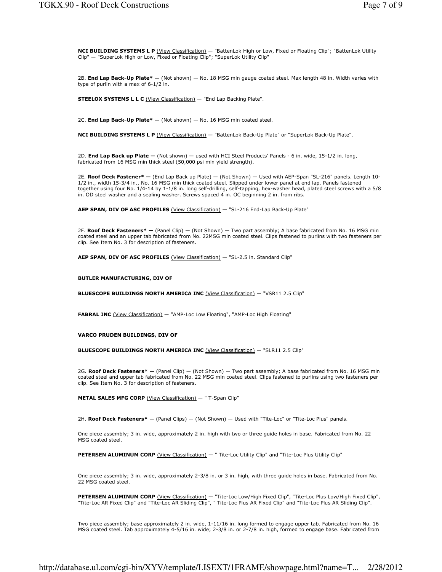NCI BUILDING SYSTEMS L P (View Classification) — "BattenLok High or Low, Fixed or Floating Clip"; "BattenLok Utility Clip" — "SuperLok High or Low, Fixed or Floating Clip"; "SuperLok Utility Clip"

2B. End Lap Back-Up Plate\* - (Not shown) - No. 18 MSG min gauge coated steel. Max length 48 in. Width varies with type of purlin with a max of 6-1/2 in.

STEELOX SYSTEMS L L C (View Classification) - "End Lap Backing Plate".

2C. End Lap Back-Up Plate\* - (Not shown) - No. 16 MSG min coated steel.

NCI BUILDING SYSTEMS L P (View Classification) - "BattenLok Back-Up Plate" or "SuperLok Back-Up Plate".

2D. End Lap Back up Plate - (Not shown) - used with HCI Steel Products' Panels - 6 in. wide, 15-1/2 in. long, fabricated from 16 MSG min thick steel (50,000 psi min yield strength).

2E. Roof Deck Fastener\* - (End Lap Back up Plate) - (Not Shown) - Used with AEP-Span "SL-216" panels. Length 10-1/2 in., width 15-3/4 in., No. 16 MSG min thick coated steel. Slipped under lower panel at end lap. Panels fastened together using four No. 1/4-14 by 1-1/8 in. long self-drilling, self-tapping, hex-washer head, plated steel screws with a 5/8 in. OD steel washer and a sealing washer. Screws spaced 4 in. OC beginning 2 in. from ribs.

AEP SPAN, DIV OF ASC PROFILES (View Classification) - "SL-216 End-Lap Back-Up Plate"

2F. Roof Deck Fasteners\* - (Panel Clip) - (Not Shown) - Two part assembly; A base fabricated from No. 16 MSG min coated steel and an upper tab fabricated from No. 22MSG min coated steel. Clips fastened to purlins with two fasteners per clip. See Item No. 3 for description of fasteners.

AEP SPAN, DIV OF ASC PROFILES (View Classification) - "SL-2.5 in. Standard Clip"

#### BUTLER MANUFACTURING, DIV OF

BLUESCOPE BUILDINGS NORTH AMERICA INC (View Classification) - "VSR11 2.5 Clip"

FABRAL INC (View Classification) — "AMP-Loc Low Floating", "AMP-Loc High Floating"

#### VARCO PRUDEN BUILDINGS, DIV OF

BLUESCOPE BUILDINGS NORTH AMERICA INC (View Classification) - "SLR11 2.5 Clip"

2G. Roof Deck Fasteners\*  $-$  (Panel Clip)  $-$  (Not Shown)  $-$  Two part assembly; A base fabricated from No. 16 MSG min coated steel and upper tab fabricated from No. 22 MSG min coated steel. Clips fastened to purlins using two fasteners per clip. See Item No. 3 for description of fasteners.

METAL SALES MFG CORP (View Classification) - " T-Span Clip"

2H. Roof Deck Fasteners\* - (Panel Clips) - (Not Shown) - Used with "Tite-Loc" or "Tite-Loc Plus" panels.

One piece assembly; 3 in. wide, approximately 2 in. high with two or three guide holes in base. Fabricated from No. 22 MSG coated steel.

PETERSEN ALUMINUM CORP (View Classification) - " Tite-Loc Utility Clip" and "Tite-Loc Plus Utility Clip"

One piece assembly; 3 in. wide, approximately 2-3/8 in. or 3 in. high, with three guide holes in base. Fabricated from No. 22 MSG coated steel.

PETERSEN ALUMINUM CORP (View Classification) — "Tite-Loc Low/High Fixed Clip", "Tite-Loc Plus Low/High Fixed Clip", "Tite-Loc AR Fixed Clip" and "Tite-Loc AR Sliding Clip", " Tite-Loc Plus AR Fixed Clip" and "Tite-Loc Plus AR Sliding Clip".

Two piece assembly; base approximately 2 in. wide, 1-11/16 in. long formed to engage upper tab. Fabricated from No. 16 MSG coated steel. Tab approximately 4-5/16 in. wide; 2-3/8 in. or 2-7/8 in. high, formed to engage base. Fabricated from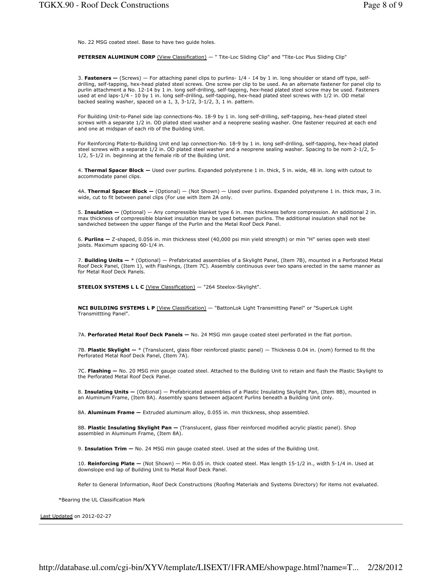No. 22 MSG coated steel. Base to have two guide holes.

PETERSEN ALUMINUM CORP (View Classification) - " Tite-Loc Sliding Clip" and "Tite-Loc Plus Sliding Clip"

3. Fasteners  $-$  (Screws)  $-$  For attaching panel clips to purlins-  $1/4$  - 14 by 1 in. long shoulder or stand off type, selfdrilling, self-tapping, hex-head plated steel screws. One screw per clip to be used. As an alternate fastener for panel clip to purlin attachment a No. 12-14 by 1 in. long self-drilling, self-tapping, hex-head plated steel screw may be used. Fasteners used at end laps-1/4 - 10 by 1 in. long self-drilling, self-tapping, hex-head plated steel screws with 1/2 in. OD metal backed sealing washer, spaced on a 1, 3, 3-1/2, 3-1/2, 3, 1 in. pattern.

For Building Unit-to-Panel side lap connections-No. 18-9 by 1 in. long self-drilling, self-tapping, hex-head plated steel screws with a separate 1/2 in. OD plated steel washer and a neoprene sealing washer. One fastener required at each end and one at midspan of each rib of the Building Unit.

For Reinforcing Plate-to-Building Unit end lap connection-No. 18-9 by 1 in. long self-drilling, self-tapping, hex-head plated steel screws with a separate 1/2 in. OD plated steel washer and a neoprene sealing washer. Spacing to be nom 2-1/2, 5- 1/2, 5-1/2 in. beginning at the female rib of the Building Unit.

4. Thermal Spacer Block - Used over purlins. Expanded polystyrene 1 in. thick, 5 in. wide, 48 in. long with cutout to accommodate panel clips.

4A. Thermal Spacer Block - (Optional) - (Not Shown) - Used over purlins. Expanded polystyrene 1 in. thick max, 3 in. wide, cut to fit between panel clips (For use with Item 2A only.

5. Insulation - (Optional) - Any compressible blanket type 6 in. max thickness before compression. An additional 2 in. max thickness of compressible blanket insulation may be used between purlins. The additional insulation shall not be sandwiched between the upper flange of the Purlin and the Metal Roof Deck Panel.

6. Purlins — Z-shaped, 0.056 in. min thickness steel (40,000 psi min yield strength) or min "H" series open web steel joists. Maximum spacing 60-1/4 in.

7. Building Units  $*$  (Optional)  $-$  Prefabricated assemblies of a Skylight Panel, (Item 7B), mounted in a Perforated Metal Roof Deck Panel, (Item 1), with Flashings, (Item 7C). Assembly continuous over two spans erected in the same manner as for Metal Roof Deck Panels.

STEELOX SYSTEMS L L C (View Classification) — "264 Steelox-Skylight".

NCI BUILDING SYSTEMS L P (View Classification) - "BattonLok Light Transmitting Panel" or "SuperLok Light Transmittting Panel".

7A. Perforated Metal Roof Deck Panels - No. 24 MSG min gauge coated steel perforated in the flat portion.

7B. Plastic Skylight — \* (Translucent, glass fiber reinforced plastic panel) — Thickness 0.04 in. (nom) formed to fit the Perforated Metal Roof Deck Panel, (Item 7A).

7C. Flashing - No. 20 MSG min gauge coated steel. Attached to the Building Unit to retain and flash the Plastic Skylight to the Perforated Metal Roof Deck Panel.

8. Insulating Units - (Optional) - Prefabricated assemblies of a Plastic Insulating Skylight Pan, (Item 8B), mounted in an Aluminum Frame, (Item 8A). Assembly spans between adjacent Purlins beneath a Building Unit only.

8A. Aluminum Frame - Extruded aluminum alloy, 0.055 in. min thickness, shop assembled.

8B. Plastic Insulating Skylight Pan - (Translucent, glass fiber reinforced modified acrylic plastic panel). Shop assembled in Aluminum Frame, (Item 8A).

9. Insulation Trim - No. 24 MSG min gauge coated steel. Used at the sides of the Building Unit.

10. Reinforcing Plate - (Not Shown) - Min 0.05 in. thick coated steel. Max length 15-1/2 in., width 5-1/4 in. Used at downslope end lap of Building Unit to Metal Roof Deck Panel.

Refer to General Information, Roof Deck Constructions (Roofing Materials and Systems Directory) for items not evaluated.

\*Bearing the UL Classification Mark

Last Updated on 2012-02-27